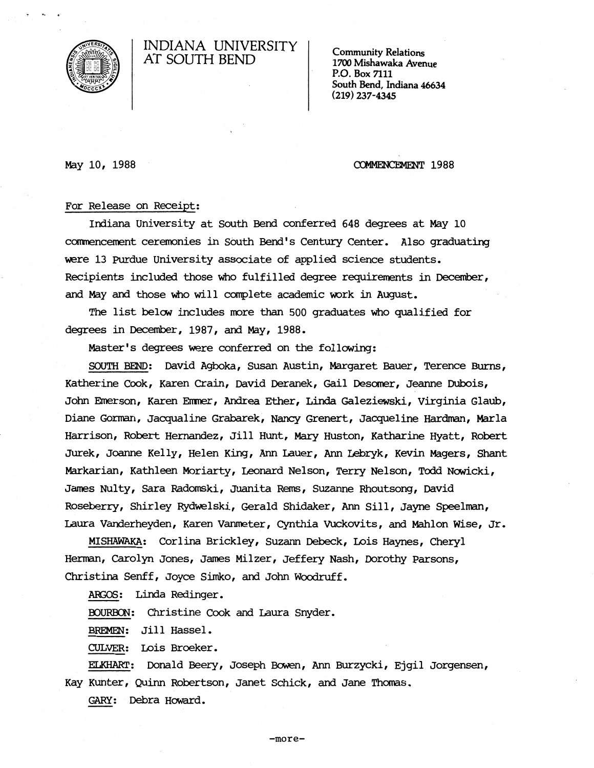

# INDIANA UNIVERSITY AT SOUTH BEND

Community Relations 1700 Mishawaka Avenue P.O. Box 7111 South Bend, Indiana 46634 (219) 237-4345

May 10, 1988

COMMENCEMENT 1988

## For Release on Receipt:

Indiana University at South Bend conferred 648 degrees at May 10 corrmencement ceremonies in South Bend's Century Center. Also graduating were 13 Purdue University associate of applied science students. Recipients included those who fulfilled degree requirements in December, and May and those who will complete academic voork in August.

The list below includes more than 500 graduates who qualified for degrees in December, 1987, and May, 1988.

Master's degrees were conferred on the following:

SOUTH BEND: David Agboka, susan Austin, Margaret Bauer, Terence Burns, Katherine Cook, Karen Crain, David Deranek, Gail Desomer, Jeanne Dubois, John Emerson, Karen Emmer, Andrea Ether, Linda Galeziewski, Virginia Glaub, Diane Gonnan, Jacqualine Grabarek, Nancy Grenert, Jacqueline Hardman, Marla Harrison, Robert Hernandez, Jill Hunt, Mary Huston, Katharine Hyatt, Robert Jurek, Joanne Kelly, Helen King, Ann Lauer, Ann Lebryk, Kevin Magers, Shant Markarian, Kathleen Moriarty, Leonard Nelson, Terry Nelson, Todd Nowicki, James NUlty, Sara Radomski, Juanita Rerns, Suzanne Rhoutsong, David Roseberry, Shirley Rydwelski, Gerald Shidaker, Ann Sill, Jayne Speelman, Laura Vanderheyden, Karen Vanmeter, Cynthia vuckovits, and Mahlon Wise, Jr.

MISHAWAKA: Corlina Brickley, Suzann Debeck, Lois Haynes, Cheryl Herman, Carolyn Jones, James Milzer, Jeffery Nash, Dorothy Parsons, Christina Senff, Joyce Simko, and Jolm Woodruff.

AffiOS: Linda Redinger.

BOURBON: Christine Cook and Laura Snyder.

BREMEN: Jill Hassel.

CULVER: Lois Broeker.

ELKHART: Donald Beery, Joseph Bowen, Ann Burzycki, Ejgil Jorgensen, Kay Kunter, Quinn Robertson, Janet Schick, and Jane Thomas.

GARY: Debra Howard.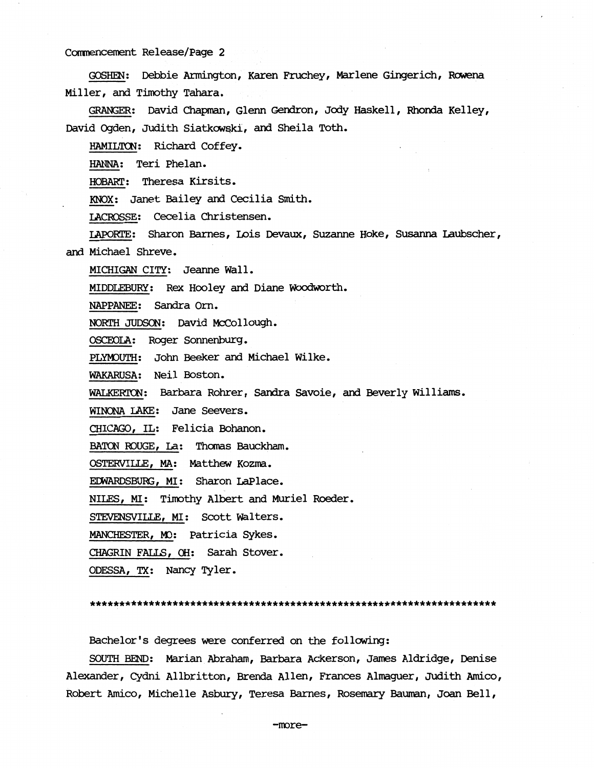GOSHEN: Debbie Armington, Karen Fruchey, Marlene Gingerich, Rowena Miller, and Timothy Tahara.

~= David Chapman, Glenn Gendron, Jody Haskell, Rhonda Kelley, David Ogden, Judith Siatkowski, and Sheila Toth.

HAMILTCN: Richard Coffey.

HANNA: Teri Phelan.

HOBART: Theresa Kirsits.

KNOX: Janet Bailey and Cecilia Smith.

lACROSSE: Cecelia Christensen.

IAPORTE: Sharon Barnes, Lois Devaux, Suzanne Hoke, Susanna Laubscher, and Michael Shreve.

MICHIGAN CITY: Jeanne Wall.

MIDDLEBURY: Rex Hooley and Diane Woodworth.

NAPPANEE: Sandra orn.

NORTH JUDSON: David McCollough.

OSCEOLA: Roger Sonnenburg.

PLYMOUTH: John Beeker and Michael Wilke.

WAKARUSA: Neil Boston.

WALKERTON: Barbara Rohrer, Sandra Savoie, and Beverly Williams.

WINONA LAKE: Jane Seevers.

CHICAGO, IL: Felicia Bohanon.

BATON ROUGE, La: Thomas Bauckham.

OSTERVILLE, MA: Matthew Kozma.

EDWARDSBURG, MI: Sharon LaPlace.

NILES, MI: Timothy Albert and Muriel Roeder.

STEVENSVILLE, MI: Scott Walters.

MANCHESTER, MO: Patricia Sykes.

CHAGRIN FALLS, OH: Sarah Stover.

ODESSA, TX: Nancy Tyler.

\*\*\*\*\*\*\*\*\*\*\*\*\*\*\*\*\*\*\*\*\*\*\*\*\*\*\*\*\*\*\*\*\*\*\*\*\*\*\*\*\*\*\*\*\*\*\*\*\*\*\*\*\*\*\*\*\*\*\*\*\*\*\*\*\*\*\*\*\*

Bachelor's degrees were conferred on the following:

SOUTH BEND: Marian Abraham, Barbara Ackerson, James Aldridge, Denise Alexander, Cydni Allbritton, Brenda Allen, Frances Almaguer, Judith Amico, Robert Amico, Michelle Asbw:y, Teresa Barnes, Rosemary Bauman, Joan Bell,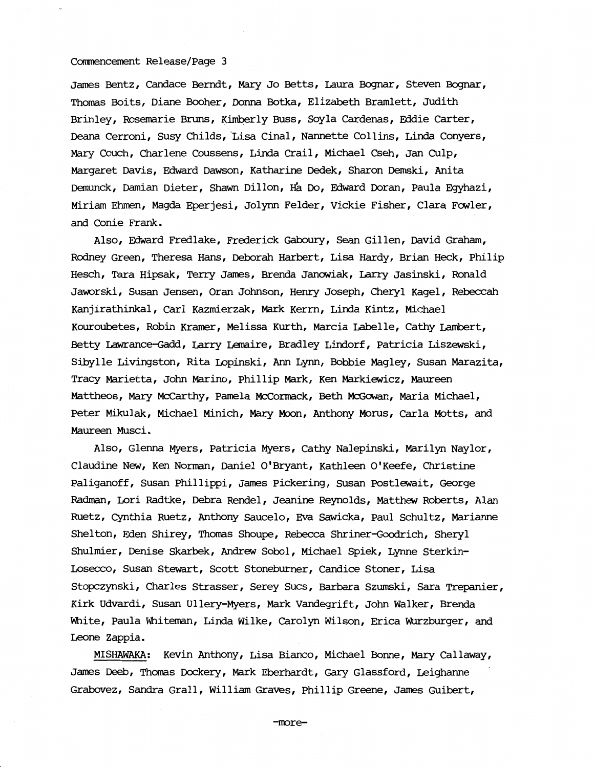James Bentz, Candace Berndt, Mary Jo Betts, Laura Bognar, Steven Bognar, Thomas Boits, Diane Booher, Donna Botka, Elizabeth Bramlett, Judith Brinley, Rosemarie Bruns, Kimberly Buss, Soyla Cardenas, Eddie Carter, Deana Cerroni, Susy Childs, 'Lisa Cinal, Nannette Collins, Linda Conyers, Mary Couch, Charlene Coussens, Linda Crail, Michael Cseh, Jan CUlp, Margaret Davis, Edward Dawson, Katharine Dedek, Sharon Demski, Anita Demunck, Damian Dieter, Shawn Dillon, H'a Do, Edward Doran, Paula Egyhazi, Miriam Ehmen, Magda Eperjesi, Jolynn Felder, Vickie Fisher, Clara Fowler, and Conie Frank.

Also, Edward Fredlake, Frederick Gaboury, Sean Gillen, David Graham, Rodney Green, Theresa Hans, Deborah Harbert, Lisa Hardy, Brian Heck, Philip Hesch, Tara Hipsak, Terry James, Brenda Janowiak, Larry Jasinski, Ronald Jaworski, Susan Jensen, Oran Johnson, Henry Joseph, Cheryl Kagel, Rebeccah Kanjirathinkal, Carl Kazmierzak, Mark Kerrn, Linda Kintz, Michael Kouroubetes, Robin Kramer, Melissa Kurth, Marcia Labelle, Cathy Lambert, Betty Lawrance-Gadd, Larry Lemaire, Bradley Lindorf, Patricia Liszewski, Sibylle Livingston, Rita Lopinski, Ann Lynn, Bobbie Magley, Susan Marazita, Tracy Marietta, John Marino, Phillip Mark, Ken Markiewicz, Maureen Mattheos, Mary McCarthy, Pamela McCormack, Beth McGowan, Maria Michael, Peter Mikulak, Michael Minich, Mary Moon, Anthony Morus, Carla Motts, and Maureen Musci.

Also, Glenna Myers, Patricia Myers, Cathy Nalepinski, Marilyn Naylor, Claudine New, Ken Norman, Daniel O'Bryant, Kathleen O'Keefe, Christine Paliganoff, Susan Phillippi, James Pickering, Susan Postlewait, George Radman, Lori Radtke, Debra Rendel, Jeanine Reynolds, Matthew Roberts, Alan Ruetz, Cynthia Ruetz, Anthony Saucelo, Eva Sawicka, Paul Schultz, Marianne Shelton, Eden Shirey, Thomas Shoupe, Rebecca Shriner-Goodrich, Sheryl Shulmier, Denise Skarbek, Andrew Sobol, Michael Spiek, Lynne Sterkin-Losecco, Susan Stewart, Scott Stoneburner, Candice Stoner, Lisa Stopczynski, Charles Strasser, Serey Sues, Barbara Szumski, Sara Trepanier, Kirk Udvardi, Susan Ullery-Myers, Mark Vandegrift, John Walker, Brenda White, Paula Whiteman, Linda Wilke, Carolyn Wilson, Erica Wurzburger, and Leone Zappia.

MISHAWAKA: Kevin Anthony, Lisa Bianco, Michael Bonne, Mary Callaway, James Deeb, Thomas Dockery, Mark Eberhardt, Gary Glassford, Leighanne Grabovez, Sandra Grall, William Graves, Phillip Greene, James Guibert,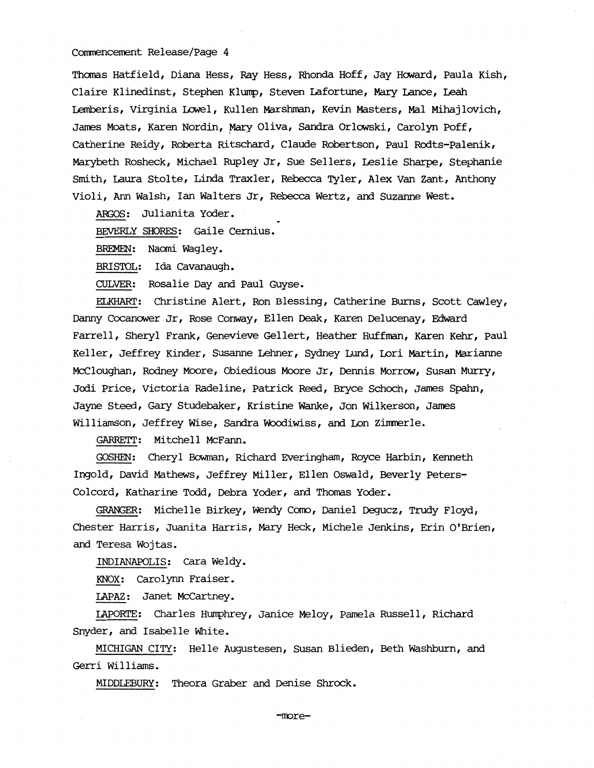Thomas Hatfield, Diana Hess, Ray Hess, Rhonda Hoff, Jay Howard, Paula Kish, Claire Klinedinst, Stephen Klump, Steven Lafortune, Mary Lance, Leah Lemberis, Virginia Lowel, Kullen Marshman, Kevin Masters, Mal Mihajlovich, James Moats, Karen Nordin, Mary Oliva, Sandra Orlowski, Carolyn Poff, Catherine Reidy, Roberta Ritschard, Claude Robertson, Paul Rodts-Palenik, Marybeth Rosheck, Michael Rupley Jr, Sue Sellers, Leslie Sharpe, Stephanie Smith, Laura Stolte, Linda Traxler, Rebecca Tyler, Alex van Zant, Anthony Violi, Ann Walsh, Ian Walters Jr, Rebecca Wertz, and Suzanne West.

ARGOS: Julianita Yoder.

BEVERLY SHORES: Gaile Cernius.

BREMEN: Naomi Wagley.

BRISTOL: Ida Cavanaugh.

CULVER: Rosalie Day and Paul Guyse.

ELKHART: Christine Alert, Ron Blessing, Catherine Burns, Scott Cawley, Danny Cocanower Jr, Rose Conway, Ellen Deak, Karen Delucenay, Edward Farrell, Sheryl Frank, Genevieve Gellert, Heather Huffman, Karen Kehr, Paul Keller, Jeffrey Kinder, Susanne Lehner, Sydney Lund, Lori Martin, Marianne McCloughan, Rodney Moore, Obiedious Moore Jr, Dennis Morrow, Susan Murry, Jodi Price, Victoria Radeline, Patrick Reed, Bryce Schoch, James Spahn, Jayne Steed, Gary Studebaker, Kristine Wanke, Jon Wilkerson, James Williamson, Jeffrey Wise, Sandra Woodiwiss, and Lon Zimnerle.

GARRETT: Mitchell McFann.

GOSHEN: Cheryl Bowman, Richard Everingham, Royce Harbin, Kenneth Ingold, David Mathews, Jeffrey Miller, Ellen Oswald, Beverly Peters-Colcord, Katharine Todd, Debra Yoder, and Thomas Yoder.

GRANGER: Michelle Birkey, Wendy Como, Daniel Degucz, Trudy Floyd, Chester Harris, JUanita Harris, Mary Heck, Michele Jenkins, Erin O'Brien, and Teresa Wojtas.

INDIANAPOLIS: Cara Weldy.

KNOX: Carolynn Fraiser.

lAPAZ: Janet McCartney.

LAPORTE: Charles Humphrey, Janice Meloy, Pamela Russell, Richard Snyder, and Isabelle White.

MICHIGAN CITY: Helle Augustesen, Susan Blieden, Beth washburn, and Gerri Williams.

MIDDLEBURY: Theora Graber and Denise Shrock.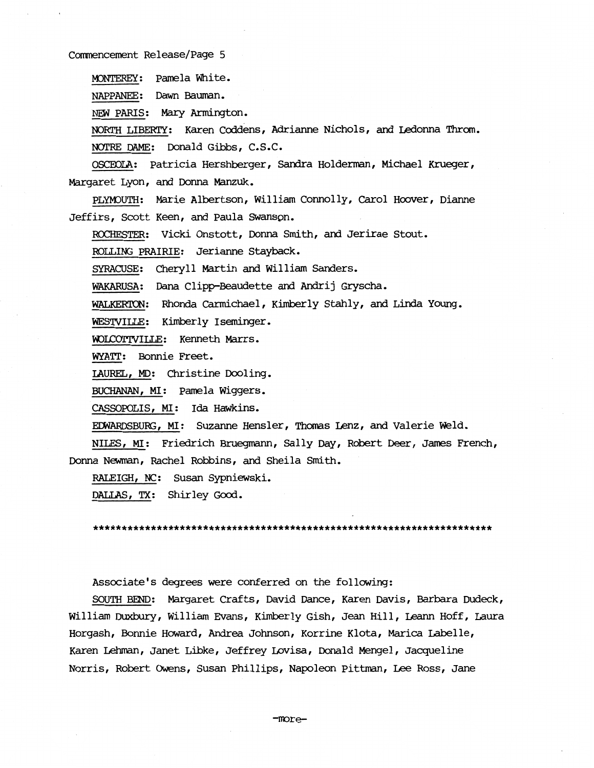M)NTEREY: Pamela White.

NAPPANEE: Dawn Bauman.

NEW PARIS: Mary Armington.

NORTH LIBERTY: Karen Coddens, Adrianne Nichols, and Ledonna Throm. NOTRE DAME: Donald Gibbs, C.S.C.

OSCOOLA: Patricia Hershberger, Sandra Holderman, Michael Krueger, Margaret Lyon, and Donna Manzuk.

PLYMOUTH: Marie Albertson, William Connolly, Carol Hoover, Dianne Jeffirs, Scott Keen, and Paula swanspn.

ROCHESTER: Vicki Onstott, Donna Smith, and Jerirae Stout.

ROLLING PRAIRIE: Jerianne Stayback.

SYRACUSE: Cheryll Martin and William Sanders.

WAKARUSA: Dana Clipp-Beaudette and Andrij Gryscha.

WALKERTON: Rhonda Carmichael, Kimberly Stahly, and Linda Young.

WESTVILLE: Kimberly Iseminger.

WOLCOTTVILLE: Kenneth Marrs.

WYATT: Bonnie Freet.

LAUREL, MD: Christine Dooling.

BUCHANAN, MI: Pamela Wiggers.

CASSOPOLIS, MI: Ida Hawkins.

 $EDWARDSBURG, MI:$  Suzanne Hensler, Thomas Lenz, and Valerie Weld.

NILES, MI: Friedrich Bruegmann, Sally Day, Robert Deer, James French, Donna Newman, Rachel Robbins, and Sheila Smith.

RALEIGH, NC: Susan Sypniewski.

DALIAS, TX: Shirley Good.

\*\*\*\*\*\*\*\*\*\*\*\*\*\*\*\*\*\*\*\*\*\*\*\*\*\*\*\*\*\*\*\*\*\*\*\*\*\*\*\*\*\*\*\*\*\*\*\*\*\*\*\*\*\*\*\*\*\*\*\*\*\*\*\*\*\*\*\*\*

Associate's degrees were conferred on the following:

SOUTH BEND: Margaret Crafts, David Dance, Karen Davis, Barbara DUdeck, William Duxbury, William Evans, Kimberly Gish, Jean Hill, Leann Hoff, Laura Horgash, Bonnie Howard, Andrea Johnson, Korrine Klota, Marica Labelle, Karen Lehman, Janet Libke, Jeffrey Lovisa, Donald Mengel, Jacqueline Norris, Robert OWens, Susan Phillips, Napoleon Pittman, Lee Ross, Jane